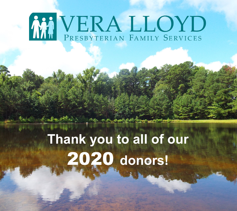# MI VERA LLOYD

## **Thank you to all of our**  2020 **donors!**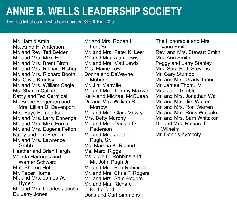#### **ANNIE B. WELLS LEADERSHIP SOCIETY**

This is a list of donors who have donated \$1,000+ in 2020.

Mr. Hamid Amin Ms. Anne H. Anderson Mr. and Rev. Ted Belden Mr. and Mrs. Mike Bell Mr. and Mrs. Brent Birch Mr. and Mrs. Richard Bishop Mr. and Mrs. Richard Booth Ms. Olivia Bradley Mr. and Mrs. William Cagle Ms. Sharon Calvert Kathy and Ted Carmical Mr. Bruce Borgersen and

 Mrs. Lillian D. Davenport Mrs. Faye Edmondson Mr. and Mrs. Larry Ennenga Mr. and Mrs. Mike Farris Mr. and Mrs. Eugene Felton Kathy and Tim French Mr. and Mrs. Lawrence Grubb Heather and Brian Hargis Wanda Hartnuss and Werner Schwarz Mrs. Sharon Heflin Mr. Faber Horne Mr. and Mrs. James W. Hyden Mr. and Mrs. Charles Jacobs Dr. Jerry Jones

Mr and Mrs. Robert H. Lee, Sr. Mr. and Mrs. Peter K. Leer Mr. and Mrs. Alan Lewis Mr. and Mrs. Matt Lewis Mrs. Elaine Low Donna and DeWayne Mahurin Mr. Jim Manville Mr. and Mrs. Tommy Maxwell Kelly and Michael McQueen Dr. and Mrs. William R. Morrow Mr. and Mrs. Clark Mowry Mrs. Betty Murphy Mr. and Mrs. Donald O. Pederson Mr. and Mrs. John T. Pugh, Sr. Ms. Marsha K. Reinert Ms. Marci Riggs Ms. Julie C. Robbins and Mr. John Pugh Jr. Mr. and Mrs. Ben Robinson Mr. and Mrs. Chris T. Rogers Mr. and Mrs. Sam Rogers Mr. and Mrs. Richard Rutherford Doris and Carl Simmons

The Honorable and Mrs. Vann Smith Rev. and Mrs. Stewart Smith Mrs. Ann Smith Peggy and Larry Stanley Mrs. Sara Beth Stevens Mr. Gary Stumbo Mr. and Mrs. Grady Tabor Mr. James Thom, IV Mrs. Julie Trimble Mr. and Mrs. Jonathan Wall Mr. and Mrs. Jim Walton Mr. and Mrs. Ron Warren Mr. and Mrs. Ross Whipple Mr. and Mrs. Sam Whitaker Dr. and Mrs. Richard D. Wilhelm Mr. Dennis Zymboly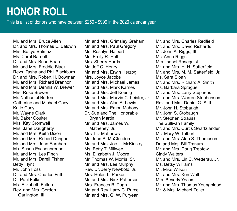### **HONOR ROLL**

This is a list of donors who have between \$250 - \$999 in the 2020 calendar year.

Mr. and Mrs. Bruce Allen Dr. and Mrs. Thomas F Raldwin Mrs. Bettye Balmaz Ms. Carol Barnett Dr. and Mrs. Brian Bean Mr. and Mrs. Freddie Black Revs. Tasha and Phil Blackburn Dr. and Mrs. Robert H. Bowman Mr. and Mrs. Richard Brannon Mr. and Mrs. Dennis W. Brewer Mrs. Rose Brewer Mr. Nathaniel Burton Catherine and Michael Cacy Katie Cacy Mr. Wayne Clark Mr. Baker Coulter Mrs. Kay Cromwell Mrs. Jane Daugherty Mr. and Mrs. Keith Dixon Mr. and Mrs. Robert Dungan Mr. and Mrs. John Earnhardt Ms. Susan Eschenbrenner Mr. and Mrs. Les Finch Mr. and Mrs. Darell Fisher Betty Flynt Mr. John Foss Dr. and Mrs. Charles Frith Dr. Paul Fulks Ms. Elizabeth Fulton Rev. and Mrs. Gordon Garlington, III

Mr. and Mrs. Grimsley Graham Mr. and Mrs. Paul Gregory Ms. Rosalyn Halbert Ms. Emily R. Hall Mrs. Sherry Harris Mr. Jeff C. Henry Mr. and Mrs. Erwin Herzog Mrs. Joyce Jacobs Mr. and Mrs. Michael James Mr. and Mrs. Mark Karnes Mr. and Mrs. Jeff Koenig Mr. and Mrs. Marvin C. Leister, Jr. Mr. and Mrs. Alan A. Lewis Mr. and Mrs. Emon Mahony Dr. Sue and The Honorable Bryan Martin Mr. and Mrs. James W. Matheney, Jr. Mrs. Liz Matthews Mr. John S. McClendon Mr. and Mrs. Joe L. McKinstry Ms. Betty T. Millwee Ms. Elizabeth J. Moore Mr. Thomas W. Morris, Sr. Mr. and Mrs. Lee Murphy Rev. Dr. Jerry Newbold, Jr. Mrs. Helen I. Parker Mr. and Mrs. Nick Patterson Mrs. Frances B. Pugh Mr. and Rev. Larry C. Purcell Mr. and Mrs. G. W. Puryear

Mr. and Mrs. Charles Redfield Mr. and Mrs. David Richards Mr. John A. Riggs, III Ms. Anna Riggs Mrs. Isabel Rosequist Mr. and Mrs. H. H. Satterfield Mr. and Mrs. M. M. Satterfield, Jr. Ms. Sara Sloan Mr. and Mrs. Richard A. Smith Ms. Barbara Sprague Mr. and Mrs. Larry Stephens Mr. and Mrs. Warren Stephenson Rev. and Mrs. Daniel G. Stitt Mr. John H. Stobaugh Mr. John S. Stobaugh Mr. Stephen Strauss The Sullivan Family Mr. and Mrs. Curtis Swartzlander Ms. Mary W. Talbert Mr. and Mrs. Alan S. Thompson Dr. and Mrs. Bill Tranum Mr. and Mrs. Doug Treptow Cindy Walters Mr. and Mrs. Lin C. Wetterau, Jr. Ms. Betsy Williams Mr. Mike Wilson Mr. and Mrs. Ken Wolf Mrs. Beverly Yocum Mr. and Mrs. Thomas Youngblood Mr. & Mrs. Michael Zoller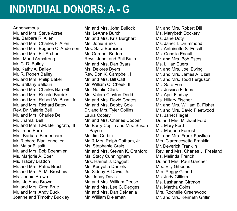#### **INDIVIDUAL DONORS: A - G**

#### Annonymous

Mr. and Mrs. Steve Acree Ms. Barbara R. Allen Mr. and Mrs. Charles F. Allen Mr. and Mrs. Eugene C. Anderson Mr. and Mrs. Bill Archer Mrs. Mauri Armstrong Mr. C. D. Bailey Ms. Kathy A. Bailey Mr. R. Robert Bailey Mr. and Mrs. Philip Baker Ms. Brittany Balloun Mr. and Mrs. Charles Barnett Mr. and Mrs. Ronald Barrick Mr. and Mrs. Robert W. Bass, Jr. Mr. and Mrs. Richard Batey Rev. Dr. Valerie Bell Mr. and Mrs. Charles Bell Mr. Jhamal Bell Mr. and Mrs. F.M. Bellingrath, III Ms. Irene Bere Mrs. Barbara Biedenharn Mr. Richard Blankenbeker Mr. Major Blissitt Mr. and Mrs. Bob Boehmler Ms. Marjorie A. Boer Ms. Tracey Bratton Mr. and Mrs. Patric Brosh Mr. and Mrs. A. M. Broshuis Ms. Jennie Brown Mrs. Jo Anne Brown Mr. and Mrs. Greg Brue Mr. and Mrs. Andy Buck Joanne and Timothy Buckley

Mr. and Mrs. John Bullock Ms. LeAnne Burch Mr. and Mrs. Kris Burghart Ms. Jonie Burks Mrs. Sara Burnside Mr. Gardner Burton Revs. Janet and Phil Butin Mr. and Mrs. Dan Byars Ms. Delores Byers Rev. Don K. Campbell, II Mr. and Mrs. Bill Catt Mr. William C. Cheek, III Ms. Natalie Clark Ms. Valera Clayton-Dodd Mr. and Mrs. David Coates Mr. and Mrs. Bobby Cole Dr. and Mrs. Tyler Collins Laura Cooley Mr. and Mrs. Charles Cooper Mr. Barry Coplin and Mrs. Susan Payne Mr. Jim Corbin Mr. & Mrs. Ralph Cotham, Jr. Ms. Stephanie Craig Mr. and Mrs. Steven K. Cranford Ms. Stacy Cunningham Mrs. Harriet J. Daggett Ms. Kenyetta Daniels Mr. Sidney P. Davis, Jr. Ms. Janay Davis Mr. and Mrs. William Deese Mr. and Mrs. Lee C. Degges Mr. and Mrs. Dan DeMania Mr. William Dieleman

Mr. and Mrs. Robert Dill Ms. Marybeth Dockery Ms. Jane Doty Ms. Janet T. Drummond Ms. Antoinette S. Edsall Ms. Cecelia Enault Mr. and Mrs. Bob Estes Ms. Lillian Euers Mr. and Mrs. Joel Ewing Mr. and Mrs. James A. Ezell Mr. and Mrs. Todd Ferguson Ms. Sara Ferril Ms. Jessica Fiddes Ms. April Findlay Ms. Hillary Fischer Mr. and Mrs. William B. Fisher Mr. and Mrs. David Fleetwood Ms. Janet Flegal Dr. and Mrs. Michael Ford Ms. Mary Ford Ms. Mariorie Forrest Mr. and Mrs. Frank Fowlkes Mrs. Clarencesetta Franklin Mr. Deverick Franklin Rev. and Mrs. Charles J. Freeland Ms. Melinda French Dr. and Mrs. Paul Gardner Mrs. Elly Gibbons Mrs. Peggy Gilbert Ms. Judy Gilliam Ms. Lashanna Girtmon Ms. Martha Goins Mrs. Rochelle Greenwood Mr. and Mrs. Kenneth Griffin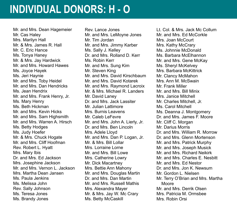#### **INDIVIDUAL DONORS: H - O**

Mr. and Mrs. Dean Hagemeier Mr. Cas Haley Mrs. Marilyn Hall Mr. & Mrs. James R. Hall Mr. C. Eric Hance Ms. Tonya Haney Mr. & Mrs. Jay Hardwick Mr. and Mrs. Howard Hawes Ms. Joyce Hayek Ms. Jeri Haynie Mr. and Mrs. Toby Heidel Mr. and Mrs. Dan Hendricks Ms. Jean Hendrix Mr. and Mrs. Frank Henry, Jr. Ms. Mary Henry Ms. Beth Hickman Mr. and Mrs. Kevin Hicks Mr. and Mrs. Sam Highsmith Mr. and Mrs. Warren A. Hirsch Ms. Betty Hodges Ms. Judy Hoefer Mr. & Mrs. Chuck Hogate Mr. and Mrs. Cliff Hoofman Rev. Robert L. Hyatt Mrs. Mary Ibis Dr. and Mrs. Ed Jackson Mrs. Josephine Jackson Mr. and Mrs. Vernon L. Jackson Mrs. Martha Dean Jansen Ms. Paula Jenkins Ms. Melissa John Rev. Sally Johnson Ms. Teresa Jones Ms. Brandy Jones

Rev. Lance Jones Mr. and Mrs. LeMoyne Jones Mr. Tim Jordan Mr. and Mrs. Jimmy Karber Ms. Sally J. Kelley Dr. and Mrs. Rolland D. Kerr Ms. Robin Kerr Mr. and Mrs. Sung Kim Mr. Steven King Mr. and Mrs. David Kirschbaum Mr. and Mrs. David Kotarek Mr. and Mrs. Raymond Lacroix Mr. & Mrs. Michael R. Landers Mr. David Laney Dr. and Mrs. Jack Lassiter Mr. Julian Lattimore Mrs. Burnis Leavens Mr. Caleb LeFevre Mr. and Mrs. John A. Lierly, Jr. Dr. and Mrs. Ben Lincoln Mrs. Adele Lloyd Mr. and Mrs. Dan P. Logan, Jr. Mr. & Mrs. Bill Lollar Mrs. Lorraine Lorne Mr. and Mrs. Bill Lowe Mrs. Catherine Lowry Mr. Dick Macartney Mrs. Bettie Ann Mahony Mr. and Mrs. Douglas Martin Dr. and Mrs. Dan Martin Mr. and Mrs. Russell Mathis Mrs. Alexandra Mayer Mr. & Mrs. Jay W. Mc Crary Ms. Betty McCaskill

Lt. Col. & Mrs. Jack Mc Collum Mr. and Mrs. Ed McCorkle Mrs. Joan McCourt Mrs. Kathy McCrary Ms. Johnnie McDonald Ms. Barbara McElhannon Mr. and Mrs. Gene McKay Ms. Sheryl McKelvey Mrs. Barbara McKittrick Mr. Clancy McMahon Mrs. Ann M. McSwain Mr. Frank Miller Mr. and Mrs. Bill Minix Mrs. Janice Mitchell Mr. Charles Mitchell, Jr. Ms. Carol Mitchell Ms. Deanna J. Montgomery Dr. and Mrs. James F. Moore Mr. Cliff C. Morgan Mr. Darius Morris Dr. and Mrs. William R. Morrow Dr. and Mrs. Glenn Mortenson Mr. and Mrs. Patrick Murphy Mr. and Mrs. Joseph Musick Mr. and Mrs. Richard Neikirk Mr. and Mrs. Charles E. Nesbitt Mr. and Mrs. Ed Nestor Dr. and Mrs. Jon K. Newsum Mr. Gordon L. Nielsen Mr. Terry O'Brian and Mrs. Martha Moore Mr. and Mrs. Derrik Olsen Mrs. Patricia M. Ormsbee Mrs. Robin Orsi